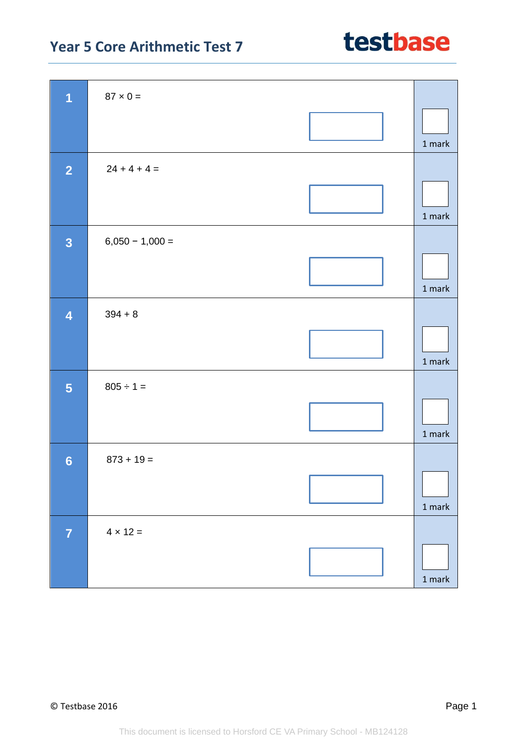| $\overline{1}$          | $87 \times 0 =$   |          |
|-------------------------|-------------------|----------|
|                         |                   |          |
|                         |                   | 1 mark   |
| $\overline{2}$          | $24 + 4 + 4 =$    |          |
|                         |                   |          |
|                         |                   | 1 mark   |
|                         |                   |          |
| $\overline{\mathbf{3}}$ | $6,050 - 1,000 =$ |          |
|                         |                   |          |
|                         |                   | 1 mark   |
| $\overline{4}$          | $394 + 8$         |          |
|                         |                   |          |
|                         |                   |          |
|                         |                   | 1 mark   |
| $\overline{\mathbf{5}}$ | $805 \div 1 =$    |          |
|                         |                   |          |
|                         |                   | $1$ mark |
| $6\phantom{1}6$         | $873 + 19 =$      |          |
|                         |                   | r        |
|                         |                   |          |
|                         |                   | $1$ mark |
| $\overline{7}$          | $4 \times 12 =$   |          |
|                         |                   |          |
|                         |                   | 1 mark   |
|                         |                   |          |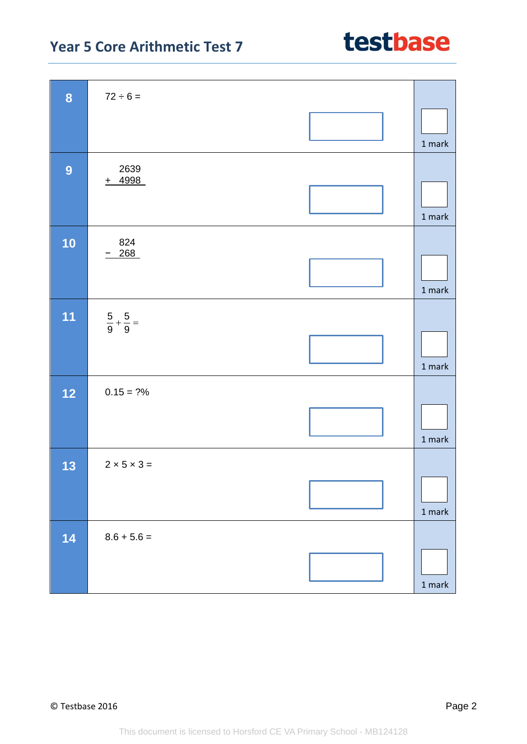| 8              | $72 \div 6 =$               |               |
|----------------|-----------------------------|---------------|
|                |                             | 1 mark        |
| $\overline{9}$ | 2639<br>$+ 4998$            | 1 mark        |
| 10             | 824<br>$-268$               | 1 mark        |
| 11             | $rac{5}{9} + \frac{5}{9} =$ | 1 mark        |
| $12$           | $0.15 = ?%$                 | 1 mark        |
| 13             | $2 \times 5 \times 3 =$     | $1$ mark      |
| 14             | $8.6 + 5.6 =$               | $1$ mark $\,$ |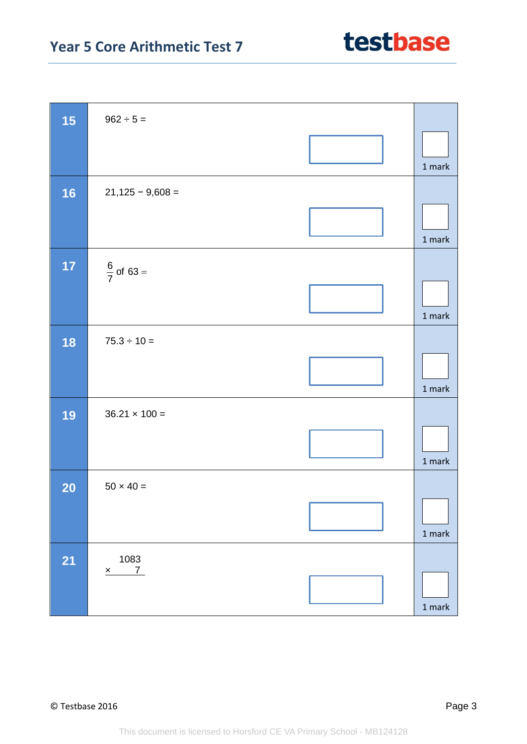| 15        | $962 \div 5 =$        |               |
|-----------|-----------------------|---------------|
|           |                       | 1 mark        |
| 16        | $21,125 - 9,608 =$    |               |
|           |                       | $1$ mark $\,$ |
| 17        | $\frac{6}{7}$ of 63 = |               |
|           |                       | 1 mark        |
| 18        | $75.3 \div 10 =$      |               |
|           |                       | $1$ mark      |
| 19        | $36.21 \times 100 =$  |               |
|           |                       | $1$ mark      |
| <b>20</b> | $50 \times 40 =$      |               |
|           |                       | 1 mark        |
| <b>21</b> | 1083                  |               |
|           | $x \t 7$              | 1 mark        |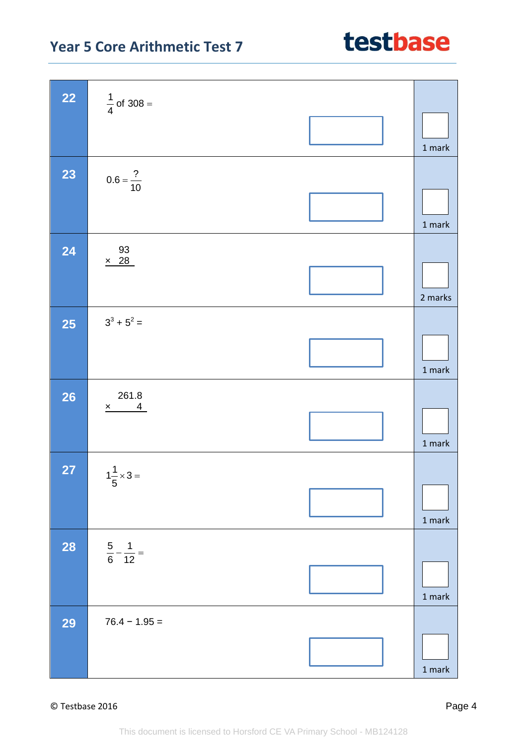### © Testbase 2016 Page 4

This document is licensed to Horsford CE VA Primary School - MB124128

| <b>22</b> | $\frac{1}{4}$ of 308 =                                  |          |
|-----------|---------------------------------------------------------|----------|
|           |                                                         | 1 mark   |
| 23        | $0.6 = \frac{?}{10}$                                    | $1$ mark |
| 24        | $\begin{array}{r} 93 \\ \times 28 \end{array}$          | 2 marks  |
| <b>25</b> | $3^3 + 5^2 =$                                           | $1$ mark |
| <b>26</b> | $\begin{array}{r} 261.8 \\ x \overline{)4} \end{array}$ | $1$ mark |
| 27        | $1\frac{1}{5} \times 3 =$                               | $1$ mark |
| <b>28</b> | $\frac{5}{6} - \frac{1}{12} =$                          | $1$ mark |
| <b>29</b> | $76.4 - 1.95 =$                                         | $1$ mark |